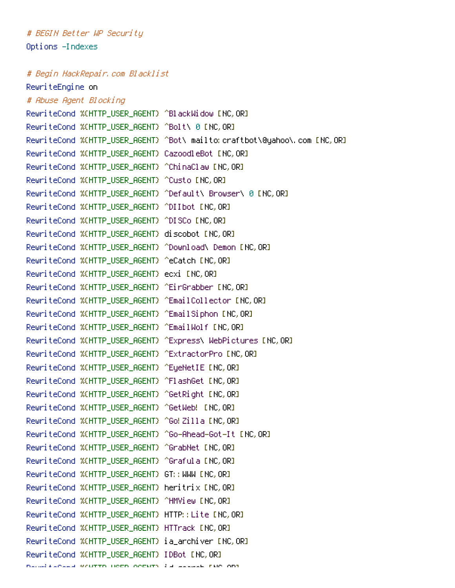# BEGIN Better WP Security Options -Indexes

# Begin HackRepair.com Blacklist

RewriteEngine on # Abuse Agent Blocking RewriteCond %(HTTP\_USER\_AGENT) ^BlackWidow [NC, OR] RewriteCond %{HTTP\_USER\_AGENT} ^Bolt\ 0 [NC,OR] RewriteCond %{HTTP\_USER\_AGENT} ^Bot\ mailto:craftbot\@yahoo\.com [NC,OR] RewriteCond %{HTTP\_USER\_AGENT} CazoodleBot [NC,OR] RewriteCond %{HTTP\_USER\_AGENT} ^ChinaClaw [NC,OR] RewriteCond %{HTTP\_USER\_AGENT} ^Custo [NC, OR] RewriteCond %{HTTP\_USER\_AGENT} ^Default\ Browser\ 0 [NC,OR] RewriteCond %{HTTP\_USER\_AGENT} ^DIIbot [NC,OR] RewriteCond %{HTTP\_USER\_AGENT} ^DISCo [NC,OR] RewriteCond %{HTTP\_USER\_AGENT} discobot [NC,OR] RewriteCond %{HTTP\_USER\_AGENT} ^Download\ Demon [NC,OR] RewriteCond %{HTTP\_USER\_AGENT} ^eCatch [NC, OR] RewriteCond %{HTTP\_USER\_AGENT} ecxi [NC,OR] RewriteCond %{HTTP\_USER\_AGENT} ^EirGrabber [NC,OR] RewriteCond %{HTTP\_USER\_AGENT} ^EmailCollector [NC,OR] RewriteCond %{HTTP\_USER\_AGENT} ^EmailSiphon [NC, OR] RewriteCond %(HTTP\_USER\_AGENT) ^EmailWolf [NC,OR] RewriteCond %{HTTP\_USER\_AGENT} ^Express\ WebPictures [NC,OR] RewriteCond %{HTTP\_USER\_AGENT} ^ExtractorPro [NC,OR] RewriteCond %{HTTP\_USER\_AGENT} ^EyeNetIE [NC, OR] RewriteCond %{HTTP\_USER\_AGENT} ^FlashGet [NC, OR] RewriteCond %{HTTP\_USER\_AGENT} ^GetRight [NC,OR] RewriteCond %{HTTP\_USER\_AGENT} ^GetWeb! [NC,OR] RewriteCond %(HTTP\_USER\_AGENT) ^Go! Zilla [NC, OR] RewriteCond %{HTTP\_USER\_AGENT} ^Go-Ahead-Got-It [NC, OR] RewriteCond %{HTTP\_USER\_AGENT} ^GrabNet [NC,OR] RewriteCond %(HTTP\_USER\_AGENT) ^Grafula [NC,OR] RewriteCond %(HTTP\_USER\_AGENT) GT:: WWW [NC, OR] RewriteCond %{HTTP\_USER\_AGENT} heritrix [NC, OR] RewriteCond %{HTTP\_USER\_AGENT} ^HMView [NC,OR] RewriteCond %{HTTP\_USER\_AGENT} HTTP::Lite [NC,OR] RewriteCond %{HTTP\_USER\_AGENT} HTTrack [NC,OR] RewriteCond %{HTTP\_USER\_AGENT} ia\_archiver [NC,OR] RewriteCond %{HTTP\_USER\_AGENT} IDBot [NC,OR] RewriteCond %{HTTP\_USER\_AGENT} id-search [NC,OR]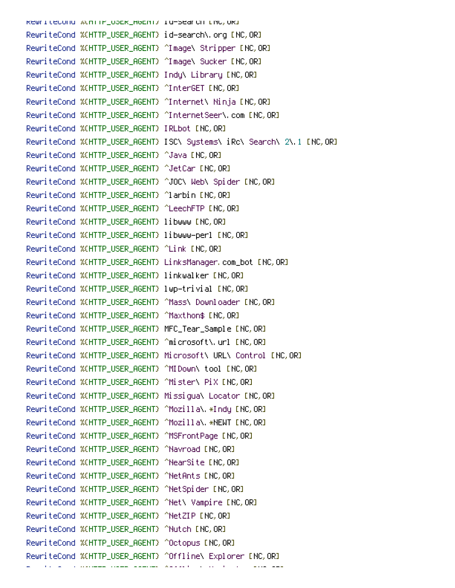RewriteCond %{HTTP\_USER\_H6ENT} id-search [NC,OR] RewriteCond %{HTTP\_USER\_AGENT} id-search\.org [NC,OR] RewriteCond %{HTTP\_USER\_AGENT} ^Image\ Stripper [NC,OR] RewriteCond %{HTTP\_USER\_AGENT} ^Image\ Sucker [NC,OR] RewriteCond %{HTTP\_USER\_AGENT} Indy\ Library [NC,OR] RewriteCond %{HTTP\_USER\_AGENT} ^InterGET [NC,OR] RewriteCond %{HTTP\_USER\_AGENT} ^Internet\ Ninja [NC,OR] RewriteCond %{HTTP\_USER\_AGENT} ^InternetSeer\.com [NC,OR] RewriteCond %(HTTP\_USER\_AGENT) IRLbot [NC, OR] RewriteCond %{HTTP\_USER\_AGENT} ISC\ Systems\ iRc\ Search\ 2\.1 [NC,OR] RewriteCond %{HTTP\_USER\_AGENT} ^Java [NC, OR] RewriteCond %{HTTP\_USER\_AGENT} ^JetCar [NC,OR] RewriteCond %{HTTP\_USER\_AGENT} ^JOC\ Web\ Spider [NC,OR] RewriteCond %{HTTP\_USER\_AGENT} ^larbin [NC,OR] RewriteCond %{HTTP\_USER\_AGENT} ^LeechFTP [NC,OR] RewriteCond %{HTTP\_USER\_AGENT} libwww [NC,OR] RewriteCond %{HTTP\_USER\_AGENT} libwww-perl [NC,OR] RewriteCond %{HTTP\_USER\_AGENT} ^Link [NC,OR] RewriteCond %{HTTP\_USER\_AGENT} LinksManager.com\_bot [NC,OR] RewriteCond %{HTTP\_USER\_AGENT} linkwalker [NC,OR] RewriteCond %{HTTP\_USER\_AGENT} lwp-trivial [NC,OR] RewriteCond %{HTTP\_USER\_AGENT} ^Mass\ Downloader [NC,OR] RewriteCond %{HTTP\_USER\_AGENT} ^Maxthon\$ [NC,OR] RewriteCond %{HTTP\_USER\_AGENT} MFC\_Tear\_Sample [NC,OR] RewriteCond %{HTTP\_USER\_AGENT} ^microsoft\.url [NC,OR] RewriteCond %{HTTP\_USER\_AGENT} Microsoft\ URL\ Control [NC,OR] RewriteCond %{HTTP\_USER\_AGENT} ^MIDown\ tool [NC,OR] RewriteCond %{HTTP\_USER\_AGENT} ^Mister\ PiX [NC,OR] RewriteCond %{HTTP\_USER\_AGENT} Missigua\ Locator [NC,OR] RewriteCond %{HTTP\_USER\_AGENT} ^Mozilla\.\*Indy [NC,OR] RewriteCond %{HTTP\_USER\_AGENT} ^Mozilla\.\*NEWT [NC,OR] RewriteCond %{HTTP\_USER\_AGENT} ^MSFrontPage [NC,OR] RewriteCond %{HTTP\_USER\_AGENT} ^Navroad [NC, OR] RewriteCond %{HTTP\_USER\_AGENT} ^NearSite [NC,OR] RewriteCond %{HTTP\_USER\_AGENT} ^NetAnts [NC,OR] RewriteCond %(HTTP\_USER\_AGENT) ^NetSpider [NC, OR] RewriteCond %{HTTP\_USER\_AGENT} ^Net\ Vampire [NC,OR] RewriteCond %{HTTP\_USER\_AGENT} ^NetZIP [NC,OR] RewriteCond %{HTTP\_USER\_AGENT} ^Nutch [NC,OR] RewriteCond %{HTTP\_USER\_AGENT} ^Octopus [NC,OR] RewriteCond %{HTTP\_USER\_AGENT} ^Offline\ Explorer [NC,OR]

RewriteCond % {HTTP\_USER\_AGENT} ^OfficeConduct {Navigator {Next {Next {Next {Next {Next }} } ^Office {Next }} }<br>}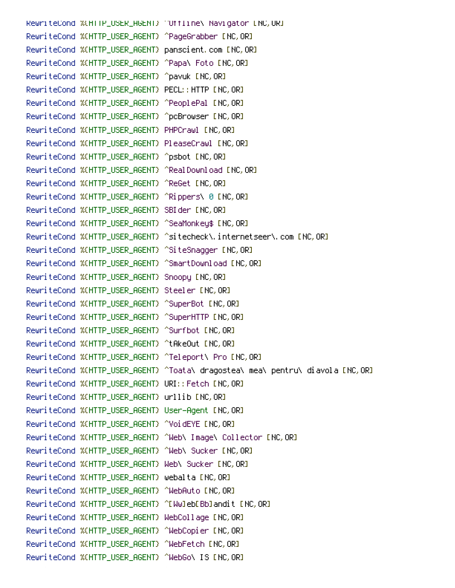RewriteCond %{HTTP\_USER\_AGENT} ^Offline\ Navigator [NC,OR] RewriteCond %{HTTP\_USER\_AGENT} ^PageGrabber [NC,OR] RewriteCond %{HTTP\_USER\_AGENT} panscient.com [NC,OR] RewriteCond %{HTTP\_USER\_AGENT} ^Papa\ Foto [NC,OR] RewriteCond %{HTTP\_USER\_AGENT} ^pavuk [NC,OR] RewriteCond %{HTTP\_USER\_AGENT} PECL:: HTTP [NC, OR] RewriteCond %(HTTP\_USER\_AGENT) ^PeoplePal [NC,OR] RewriteCond %{HTTP\_USER\_AGENT} ^pcBrowser [NC,OR] RewriteCond %{HTTP\_USER\_AGENT} PHPCrawl [NC,OR] RewriteCond %{HTTP\_USER\_AGENT} PleaseCrawl [NC,OR] RewriteCond %(HTTP\_USER\_AGENT) ^psbot [NC,OR] RewriteCond %{HTTP\_USER\_AGENT} ^RealDownload [NC,OR] RewriteCond %{HTTP\_USER\_AGENT} ^ReGet [NC, OR] RewriteCond %{HTTP\_USER\_AGENT} ^Rippers\ 0 [NC,OR] RewriteCond %(HTTP\_USER\_AGENT) SBIder [NC,OR] RewriteCond %{HTTP\_USER\_AGENT} ^SeaMonkey\$ [NC,OR] RewriteCond %(HTTP\_USER\_AGENT) ^sitecheck\.internetseer\.com [NC,OR] RewriteCond %{HTTP\_USER\_AGENT} ^SiteSnagger [NC,OR] RewriteCond %{HTTP\_USER\_AGENT} ^SmartDownload [NC,OR] RewriteCond %{HTTP\_USER\_AGENT} Snoopy [NC,OR] RewriteCond %{HTTP\_USER\_AGENT} Steeler [NC,OR] RewriteCond %{HTTP\_USER\_AGENT} ^SuperBot [NC,OR] RewriteCond %(HTTP\_USER\_AGENT) ^SuperHTTP [NC,OR] RewriteCond %{HTTP\_USER\_AGENT} ^Surfbot [NC,OR] RewriteCond %{HTTP\_USER\_AGENT} ^tAkeOut [NC,OR] RewriteCond %{HTTP\_USER\_AGENT} ^Teleport\ Pro [NC,OR] RewriteCond %{HTTP\_USER\_AGENT} ^Toata\ dragostea\ mea\ pentru\ diavola [NC,OR] RewriteCond %{HTTP\_USER\_AGENT} URI::Fetch [NC,OR] RewriteCond %{HTTP\_USER\_AGENT} urllib [NC,OR] RewriteCond %{HTTP\_USER\_AGENT} User-Agent [NC,OR] RewriteCond %{HTTP\_USER\_AGENT} ^VoidEYE [NC,OR] RewriteCond %{HTTP\_USER\_AGENT} ^Web\ Image\ Collector [NC,OR] RewriteCond %{HTTP\_USER\_AGENT} ^Web\ Sucker [NC,OR] RewriteCond %{HTTP\_USER\_AGENT} Web\ Sucker [NC,OR] RewriteCond %{HTTP\_USER\_AGENT} webalta [NC,OR] RewriteCond %{HTTP\_USER\_AGENT} ^WebAuto [NC,OR] RewriteCond %(HTTP\_USER\_AGENT) ^[Ww]eb[Bb]andit [NC,OR] RewriteCond %{HTTP\_USER\_AGENT} WebCollage [NC,OR] RewriteCond %{HTTP\_USER\_AGENT} ^WebCopier [NC,OR] RewriteCond %{HTTP\_USER\_AGENT} ^WebFetch [NC,OR] RewriteCond %(HTTP\_USER\_AGENT) ^WebGo\ IS [NC,OR]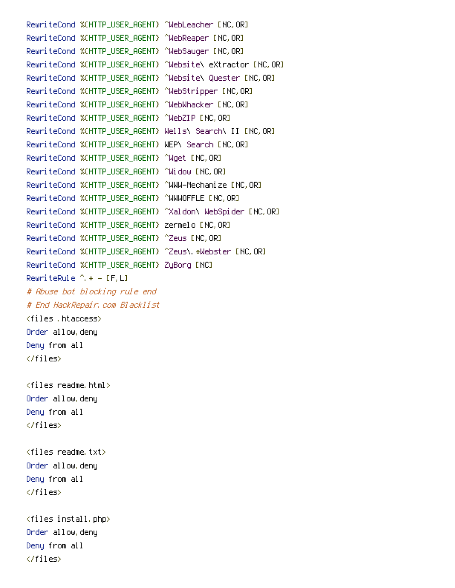RewriteCond %{HTTP\_USER\_AGENT} ^WebLeacher [NC, OR] RewriteCond %{HTTP\_USER\_AGENT} ^WebReaper [NC,OR] RewriteCond %{HTTP\_USER\_AGENT} ^WebSauger [NC, OR] RewriteCond %{HTTP\_USER\_AGENT} ^Website\ eXtractor [NC,OR] RewriteCond %{HTTP\_USER\_AGENT} ^Website\ Quester [NC,OR] RewriteCond %{HTTP\_USER\_AGENT} ^WebStripper [NC,OR] RewriteCond %{HTTP\_USER\_AGENT} ^WebWhacker [NC,OR] RewriteCond %{HTTP\_USER\_AGENT} ^WebZIP [NC, OR] RewriteCond %{HTTP\_USER\_AGENT} Wells\ Search\ II [NC,OR] RewriteCond %{HTTP\_USER\_AGENT} WEP\ Search [NC,OR] RewriteCond %{HTTP\_USER\_AGENT} ^Wget [NC, OR] RewriteCond %{HTTP\_USER\_AGENT} ^Widow [NC,OR] RewriteCond %(HTTP\_USER\_AGENT) ^WWW-Mechanize [NC,OR] RewriteCond %(HTTP\_USER\_AGENT) ^WWWOFFLE [NC, OR] RewriteCond %{HTTP\_USER\_AGENT} ^Xaldon\ WebSpider [NC,OR] RewriteCond %{HTTP\_USER\_AGENT} zermelo [NC,OR] RewriteCond %{HTTP\_USER\_AGENT} ^Zeus [NC,OR] RewriteCond %{HTTP\_USER\_AGENT} ^Zeus\.\*Webster [NC,OR] RewriteCond %{HTTP\_USER\_AGENT} ZyBorg [NC] RewriteRule  $\hat{A} * - [F, L]$ # Abuse bot blocking rule end # End HackRepair.com Blacklist <files .htaccess> Order allow,deny Deny from all </files>  $\langle$ files readme.html $\rangle$ Order allow,deny Deny from all </files>  $\langle$ files readme.txt $\rangle$ Order allow,deny Deny from all </files> <files install.php> Order allow,deny Deny from all

</files>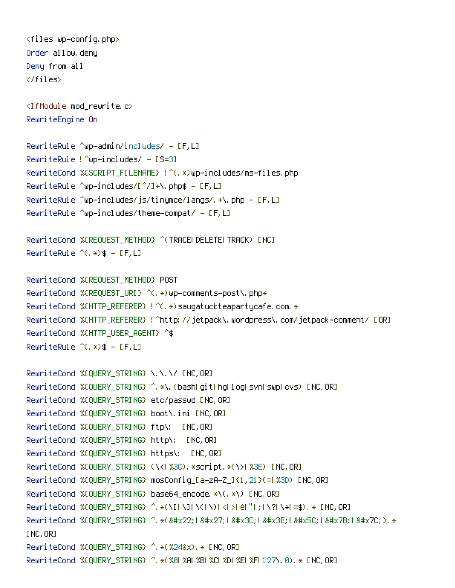$\langle$ files wp-config.php $\rangle$ Order allow,deny Deny from all </files> <IfModule mod\_rewrite.c> RewriteEngine On RewriteRule ^wp-admin/includes/ -  $[F,L]$ RewriteRule  $?$  up-includes/ - [S=3] RewriteCond %{SCRIPT\_FILENAME} !^(.\*)wp-includes/ms-files.php RewriteRule ^wp-includes/[^/]+\.php\$ - [F,L] RewriteRule ^wp-includes/js/tinymce/langs/.+\.php -  $[F,L]$  $Rewr$ ite $R$ ule  $\sim$ wp-includes/theme-compat/ - [F,L] RewriteCond %{REQUEST\_METHOD} ^(TRACE|DELETE|TRACK) [NC] RewriteRule  $^{\sim}$ (,  $\ast$ ) \$ - [F, L] RewriteCond %{REQUEST\_METHOD} POST RewriteCond %{REQUEST\_URI} ^(.\*)wp-comments-post\.php\* RewriteCond %(HTTP\_REFERER) ! ^(.\*)saugatuckteapartycafe.com.\* RewriteCond %{HTTP\_REFERER} !^http://jetpack\.wordpress\.com/jetpack-comment/ [OR] RewriteCond %{HTTP\_USER\_AGENT} ^\$  $RewriteRule ^{\wedge}$  $(,*)$ \$ - [F,L] RewriteCond %{QUERY\_STRING} \.\.\/ [NC, OR] RewriteCond %(QUERY\_STRING) ^.\*\.(bashligitlinglioglisvnLswpLcvs) [NC,OR] RewriteCond %{QUERY\_STRING} etc/passwd [NC,OR] RewriteCond %{QUERY\_STRING} boot\.ini [NC,OR] RewriteCond %{QUERY\_STRING} ftp\: [NC,OR] RewriteCond %{QUERY\_STRING} http\: [NC,OR] RewriteCond %{QUERY\_STRING} https\: [NC,OR] RewriteCond %(QUERY\_STRING) (\<| %3C). \*script. \*(\>| %3E) [NC,OR] RewriteCond %{QUERY\_STRING} mosConfig\_[a-zA-Z\_]{1,21}(=|%3D) [NC,OR] RewriteCond %{QUERY\_STRING} base64\_encode.\*\(.\*\) [NC,OR] RewriteCond %{QUERY\_STRING} ^.\*(\[|\]|\(|\)|<|>|ê|"|;|\?|\\*|=\$).\* [NC,OR] RewriteCond %(QUERY\_STRING) ^.\*("1'1<1&#x3E;1&#x5C;1&#x7B;1&#x7C;).\* [NC, OR] RewriteCond %{QUERY\_STRING} ^.\*(%24&x).\* [NC,OR] RewriteCond %{QUERY\_STRING} ^.\*(%0|%A|%B|%C|%D|%E|%F|127\.0).\* [NC,OR]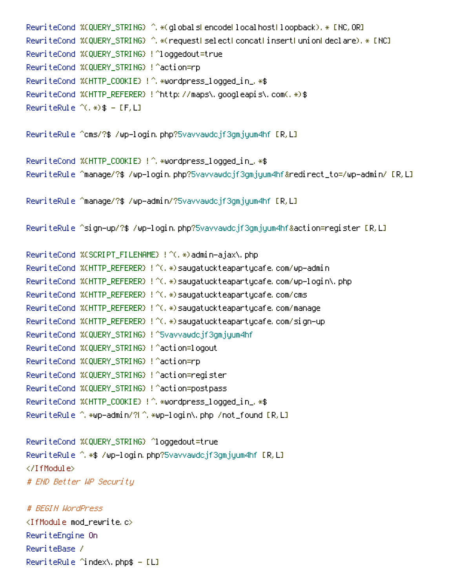```
RewriteCond %CQUERY_STRING} ^.*(globals|encode|localhost|loopback).* [NC,OR]
RewriteCond %{QUERY_STRING} ^.*(request|select|concat|insert|union|declare).* [NC]
RewriteCond %{QUERY_STRING} !^loggedout=true
RewriteCond %{QUERY_STRING} !^action=rp
RewriteCond %{HTTP_COOKIE} !^.*wordpress_logged_in_.*$
RewriteCond %{HTTP_REFERER} !^http://maps\.googleapis\.com(.*)$
RewriteRule ^{\wedge}(, \ast) \ast - [F, L]
```
RewriteRule ^cms/?\$ /wp-login.php?5vavvawdcjf3gmjyum4hf [R,L]

```
RewriteCond %{HTTP_COOKIE} !^.*wordpress_logged_in_.*$
RewriteRule ^manage/?$ /wp-login.php?5vavvawdcjf3gmjyum4hf&redirect_to=/wp-admin/ [R,L]
```

```
RewriteRule ^manage/?$ /wp-admin/?5vavvawdcjf3gmjyum4hf [R,L]
```
RewriteRule ^sign-up/?\$ /wp-login.php?5vavvawdcjf3gmjyum4hf&action=register [R,L]

```
RewriteCond %{SCRIPT_FILENAME} !^(.*)admin-ajax\.php
RewriteCond %{HTTP_REFERER} !^(.*)saugatuckteapartycafe.com/wp-admin
RewriteCond %{HTTP_REFERER} !^(.*)saugatuckteapartycafe.com/wp-login\.php
RewriteCond %(HTTP_REFERER) ! ^(.*)saugatuckteapartycafe.com/cms
RewriteCond %{HTTP_REFERER} !^(.*)saugatuckteapartycafe.com/manage
RewriteCond %{HTTP_REFERER} !^(.*)saugatuckteapartycafe.com/sign-up
RewriteCond %{QUERY_STRING} !^5vavvawdcjf3gmjyum4hf
RewriteCond %{QUERY_STRING} !^action=logout
RewriteCond %{QUERY_STRING} !^action=rp
RewriteCond %{QUERY_STRING} !^action=register
RewriteCond %{QUERY_STRING} !^action=postpass
RewriteCond %{HTTP_COOKIE} !^.*wordpress_logged_in_.*$
RewriteRule ^.*wp-admin/?|^.*wp-login\.php /not_found [R,L]
```

```
RewriteCond %{QUERY_STRING} ^loggedout=true
RewriteRule ^.*$ /wp-login.php?5vavvawdcjf3gmjyum4hf [R,L]
</IfModule>
# END Better WP Security
```
## # BEGIN WordPress

<IfModule mod\_rewrite.c> RewriteEngine On RewriteBase / RewriteRule ^index\.php\$  $-$  [L]